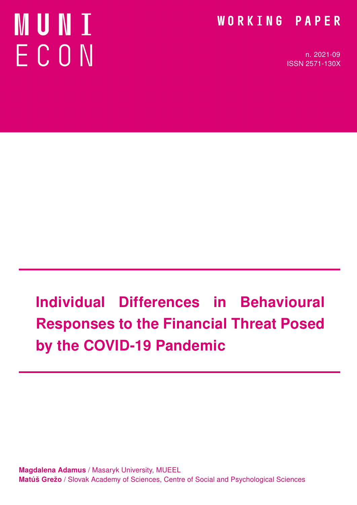# **MUNT** ECON

### WORKING PAPER

n. 2021-09 ISSN 2571-130X

# Individual Differences in Behavioural Responses to the Financial Threat Posed by the COVID-19 Pandemic

Magdalena Adamus / Masaryk University, MUEEL Matúš Grežo / Slovak Academy of Sciences, Centre of Social and Psychological Sciences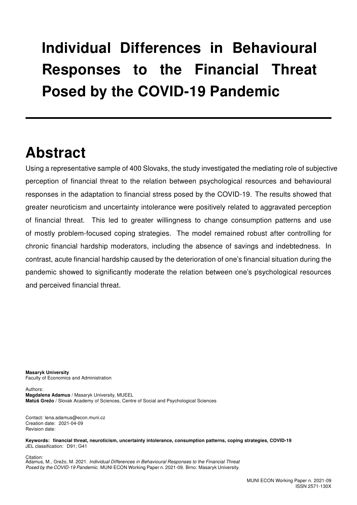## Individual Differences in Behavioural Responses to the Financial Threat Posed by the COVID-19 Pandemic

### Abstract

Using a representative sample of 400 Slovaks, the study investigated the mediating role of subjective perception of financial threat to the relation between psychological resources and behavioural responses in the adaptation to financial stress posed by the COVID-19. The results showed that greater neuroticism and uncertainty intolerance were positively related to aggravated perception of financial threat. This led to greater willingness to change consumption patterns and use of mostly problem-focused coping strategies. The model remained robust after controlling for chronic financial hardship moderators, including the absence of savings and indebtedness. In contrast, acute financial hardship caused by the deterioration of one's financial situation during the pandemic showed to significantly moderate the relation between one's psychological resources and perceived financial threat.

Masaryk University Faculty of Economics and Administration

Authors: Magdalena Adamus / Masaryk University, MUEEL Matúš Grežo / Slovak Academy of Sciences, Centre of Social and Psychological Sciences

Contact: lena.adamus@econ.muni.cz Creation date: 2021-04-09 Revision date:

Keywords: financial threat, neuroticism, uncertainty intolerance, consumption patterns, coping strategies, COVID-19 JEL classification: D91; G41

Citation:<br>Adamus, M., Grežo, M. 2021. *Individual Differences in Behavioural Responses to the Financial Threa*i Posed by the COVID-19 Pandemic. MUNI ECON Working Paper n. 2021-09. Brno: Masaryk University.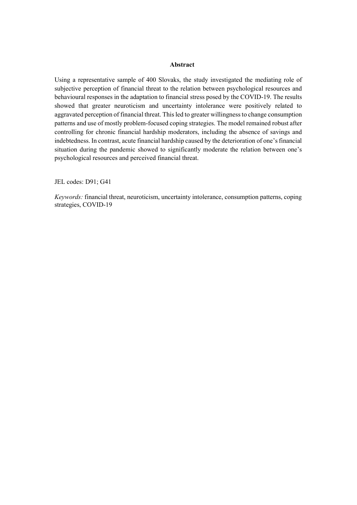#### Abstract

Using a representative sample of 400 Slovaks, the study investigated the mediating role of subjective perception of financial threat to the relation between psychological resources and behavioural responses in the adaptation to financial stress posed by the COVID-19. The results showed that greater neuroticism and uncertainty intolerance were positively related to aggravated perception of financial threat. This led to greater willingness to change consumption patterns and use of mostly problem-focused coping strategies. The model remained robust after controlling for chronic financial hardship moderators, including the absence of savings and indebtedness. In contrast, acute financial hardship caused by the deterioration of one's financial situation during the pandemic showed to significantly moderate the relation between one's psychological resources and perceived financial threat.

JEL codes: D91; G41

Keywords: financial threat, neuroticism, uncertainty intolerance, consumption patterns, coping strategies, COVID-19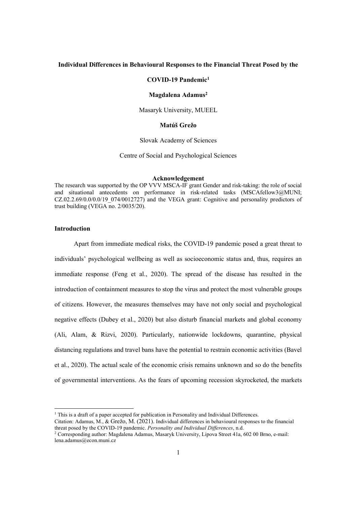#### Individual Differences in Behavioural Responses to the Financial Threat Posed by the

#### COVID-19 Pandemic<sup>1</sup>

#### Magdalena Adamus<sup>2</sup>

Masaryk University, MUEEL

#### Matúš Grežo

#### Slovak Academy of Sciences

Centre of Social and Psychological Sciences

#### Acknowledgement

The research was supported by the OP VVV MSCA-IF grant Gender and risk-taking: the role of social and situational antecedents on performance in risk-related tasks (MSCAfellow3@MUNI;  $CZ.02.2.69/0.0/0.0/19$  074/0012727) and the VEGA grant: Cognitive and personality predictors of trust building (VEGA no. 2/0035/20).

#### Introduction

Apart from immediate medical risks, the COVID-19 pandemic posed a great threat to individuals' psychological wellbeing as well as socioeconomic status and, thus, requires an immediate response (Feng et al., 2020). The spread of the disease has resulted in the introduction of containment measures to stop the virus and protect the most vulnerable groups of citizens. However, the measures themselves may have not only social and psychological negative effects (Dubey et al., 2020) but also disturb financial markets and global economy (Ali, Alam, & Rizvi, 2020). Particularly, nationwide lockdowns, quarantine, physical distancing regulations and travel bans have the potential to restrain economic activities (Bavel et al., 2020). The actual scale of the economic crisis remains unknown and so do the benefits of governmental interventions. As the fears of upcoming recession skyrocketed, the markets

 1 This is a draft of a paper accepted for publication in Personality and Individual Differences.

Citation: Adamus, M., & Grežo, M. (2021). Individual differences in behavioural responses to the financial threat posed by the COVID-19 pandemic. *Personality and Individual Differences*, n.d.<br><sup>2</sup> Corresponding author: Magdalena Adamus, Masaryk University, Lipova Street 41a, 602 00 Brno, e-mail:

lena.adamus@econ.muni.cz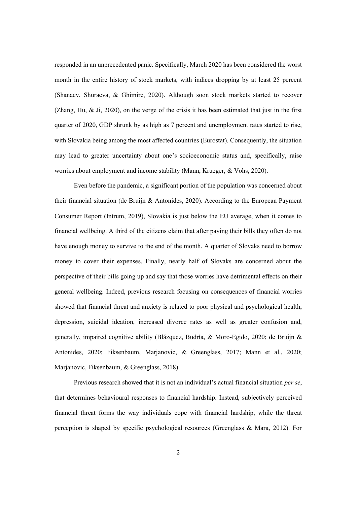responded in an unprecedented panic. Specifically, March 2020 has been considered the worst month in the entire history of stock markets, with indices dropping by at least 25 percent (Shanaev, Shuraeva, & Ghimire, 2020). Although soon stock markets started to recover (Zhang, Hu, & Ji, 2020), on the verge of the crisis it has been estimated that just in the first quarter of 2020, GDP shrunk by as high as 7 percent and unemployment rates started to rise, with Slovakia being among the most affected countries (Eurostat). Consequently, the situation may lead to greater uncertainty about one's socioeconomic status and, specifically, raise worries about employment and income stability (Mann, Krueger, & Vohs, 2020).

Even before the pandemic, a significant portion of the population was concerned about their financial situation (de Bruijn & Antonides, 2020). According to the European Payment Consumer Report (Intrum, 2019), Slovakia is just below the EU average, when it comes to financial wellbeing. A third of the citizens claim that after paying their bills they often do not have enough money to survive to the end of the month. A quarter of Slovaks need to borrow money to cover their expenses. Finally, nearly half of Slovaks are concerned about the perspective of their bills going up and say that those worries have detrimental effects on their general wellbeing. Indeed, previous research focusing on consequences of financial worries showed that financial threat and anxiety is related to poor physical and psychological health, depression, suicidal ideation, increased divorce rates as well as greater confusion and, generally, impaired cognitive ability (Blázquez, Budría, & Moro-Egido, 2020; de Bruijn & Antonides, 2020; Fiksenbaum, Marjanovic, & Greenglass, 2017; Mann et al., 2020; Marjanovic, Fiksenbaum, & Greenglass, 2018).

Previous research showed that it is not an individual's actual financial situation *per se*, that determines behavioural responses to financial hardship. Instead, subjectively perceived financial threat forms the way individuals cope with financial hardship, while the threat perception is shaped by specific psychological resources (Greenglass & Mara, 2012). For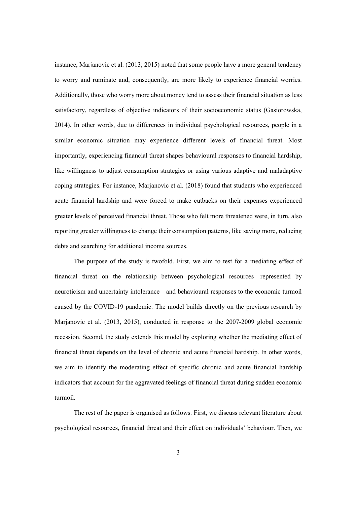instance, Marjanovic et al. (2013; 2015) noted that some people have a more general tendency to worry and ruminate and, consequently, are more likely to experience financial worries. Additionally, those who worry more about money tend to assess their financial situation as less satisfactory, regardless of objective indicators of their socioeconomic status (Gasiorowska, 2014). In other words, due to differences in individual psychological resources, people in a similar economic situation may experience different levels of financial threat. Most importantly, experiencing financial threat shapes behavioural responses to financial hardship, like willingness to adjust consumption strategies or using various adaptive and maladaptive coping strategies. For instance, Marjanovic et al. (2018) found that students who experienced acute financial hardship and were forced to make cutbacks on their expenses experienced greater levels of perceived financial threat. Those who felt more threatened were, in turn, also reporting greater willingness to change their consumption patterns, like saving more, reducing debts and searching for additional income sources.

The purpose of the study is twofold. First, we aim to test for a mediating effect of financial threat on the relationship between psychological resources—represented by neuroticism and uncertainty intolerance—and behavioural responses to the economic turmoil caused by the COVID-19 pandemic. The model builds directly on the previous research by Marjanovic et al. (2013, 2015), conducted in response to the 2007-2009 global economic recession. Second, the study extends this model by exploring whether the mediating effect of financial threat depends on the level of chronic and acute financial hardship. In other words, we aim to identify the moderating effect of specific chronic and acute financial hardship indicators that account for the aggravated feelings of financial threat during sudden economic turmoil.

The rest of the paper is organised as follows. First, we discuss relevant literature about psychological resources, financial threat and their effect on individuals' behaviour. Then, we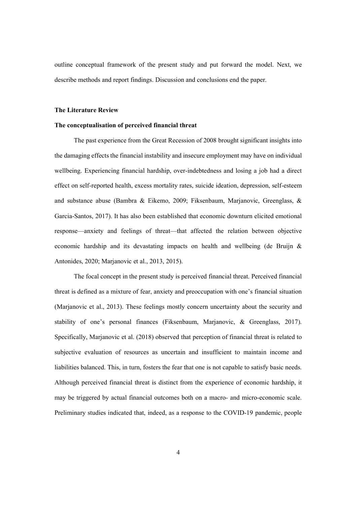outline conceptual framework of the present study and put forward the model. Next, we describe methods and report findings. Discussion and conclusions end the paper.

#### The Literature Review

#### The conceptualisation of perceived financial threat

The past experience from the Great Recession of 2008 brought significant insights into the damaging effects the financial instability and insecure employment may have on individual wellbeing. Experiencing financial hardship, over-indebtedness and losing a job had a direct effect on self-reported health, excess mortality rates, suicide ideation, depression, self-esteem and substance abuse (Bambra & Eikemo, 2009; Fiksenbaum, Marjanovic, Greenglass, & Garcia-Santos, 2017). It has also been established that economic downturn elicited emotional response—anxiety and feelings of threat—that affected the relation between objective economic hardship and its devastating impacts on health and wellbeing (de Bruijn & Antonides, 2020; Marjanovic et al., 2013, 2015).

The focal concept in the present study is perceived financial threat. Perceived financial threat is defined as a mixture of fear, anxiety and preoccupation with one's financial situation (Marjanovic et al., 2013). These feelings mostly concern uncertainty about the security and stability of one's personal finances (Fiksenbaum, Marjanovic, & Greenglass, 2017). Specifically, Marjanovic et al. (2018) observed that perception of financial threat is related to subjective evaluation of resources as uncertain and insufficient to maintain income and liabilities balanced. This, in turn, fosters the fear that one is not capable to satisfy basic needs. Although perceived financial threat is distinct from the experience of economic hardship, it may be triggered by actual financial outcomes both on a macro- and micro-economic scale. Preliminary studies indicated that, indeed, as a response to the COVID-19 pandemic, people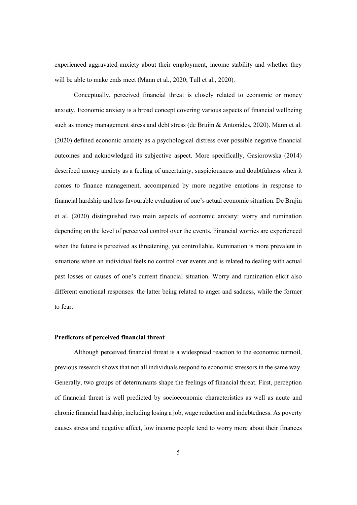experienced aggravated anxiety about their employment, income stability and whether they will be able to make ends meet (Mann et al., 2020; Tull et al., 2020).

Conceptually, perceived financial threat is closely related to economic or money anxiety. Economic anxiety is a broad concept covering various aspects of financial wellbeing such as money management stress and debt stress (de Bruijn & Antonides, 2020). Mann et al. (2020) defined economic anxiety as a psychological distress over possible negative financial outcomes and acknowledged its subjective aspect. More specifically, Gasiorowska (2014) described money anxiety as a feeling of uncertainty, suspiciousness and doubtfulness when it comes to finance management, accompanied by more negative emotions in response to financial hardship and less favourable evaluation of one's actual economic situation. De Brujin et al. (2020) distinguished two main aspects of economic anxiety: worry and rumination depending on the level of perceived control over the events. Financial worries are experienced when the future is perceived as threatening, yet controllable. Rumination is more prevalent in situations when an individual feels no control over events and is related to dealing with actual past losses or causes of one's current financial situation. Worry and rumination elicit also different emotional responses: the latter being related to anger and sadness, while the former to fear.

#### Predictors of perceived financial threat

Although perceived financial threat is a widespread reaction to the economic turmoil, previous research shows that not all individuals respond to economic stressors in the same way. Generally, two groups of determinants shape the feelings of financial threat. First, perception of financial threat is well predicted by socioeconomic characteristics as well as acute and chronic financial hardship, including losing a job, wage reduction and indebtedness. As poverty causes stress and negative affect, low income people tend to worry more about their finances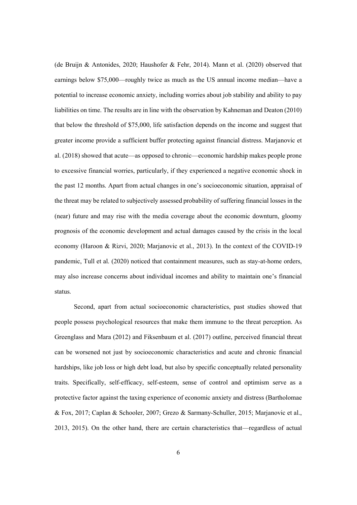(de Bruijn & Antonides, 2020; Haushofer & Fehr, 2014). Mann et al. (2020) observed that earnings below \$75,000—roughly twice as much as the US annual income median—have a potential to increase economic anxiety, including worries about job stability and ability to pay liabilities on time. The results are in line with the observation by Kahneman and Deaton (2010) that below the threshold of \$75,000, life satisfaction depends on the income and suggest that greater income provide a sufficient buffer protecting against financial distress. Marjanovic et al. (2018) showed that acute—as opposed to chronic—economic hardship makes people prone to excessive financial worries, particularly, if they experienced a negative economic shock in the past 12 months. Apart from actual changes in one's socioeconomic situation, appraisal of the threat may be related to subjectively assessed probability of suffering financial losses in the (near) future and may rise with the media coverage about the economic downturn, gloomy prognosis of the economic development and actual damages caused by the crisis in the local economy (Haroon & Rizvi, 2020; Marjanovic et al., 2013). In the context of the COVID-19 pandemic, Tull et al. (2020) noticed that containment measures, such as stay-at-home orders, may also increase concerns about individual incomes and ability to maintain one's financial status.

Second, apart from actual socioeconomic characteristics, past studies showed that people possess psychological resources that make them immune to the threat perception. As Greenglass and Mara (2012) and Fiksenbaum et al. (2017) outline, perceived financial threat can be worsened not just by socioeconomic characteristics and acute and chronic financial hardships, like job loss or high debt load, but also by specific conceptually related personality traits. Specifically, self-efficacy, self-esteem, sense of control and optimism serve as a protective factor against the taxing experience of economic anxiety and distress (Bartholomae & Fox, 2017; Caplan & Schooler, 2007; Grezo & Sarmany-Schuller, 2015; Marjanovic et al., 2013, 2015). On the other hand, there are certain characteristics that—regardless of actual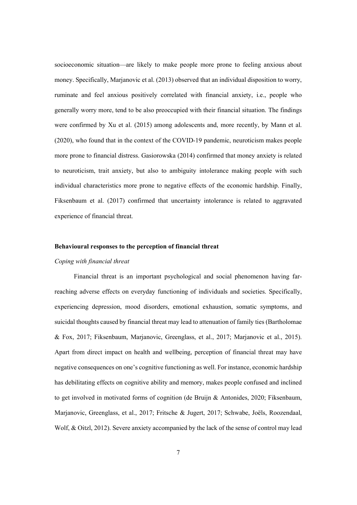socioeconomic situation—are likely to make people more prone to feeling anxious about money. Specifically, Marjanovic et al. (2013) observed that an individual disposition to worry, ruminate and feel anxious positively correlated with financial anxiety, i.e., people who generally worry more, tend to be also preoccupied with their financial situation. The findings were confirmed by Xu et al. (2015) among adolescents and, more recently, by Mann et al. (2020), who found that in the context of the COVID-19 pandemic, neuroticism makes people more prone to financial distress. Gasiorowska (2014) confirmed that money anxiety is related to neuroticism, trait anxiety, but also to ambiguity intolerance making people with such individual characteristics more prone to negative effects of the economic hardship. Finally, Fiksenbaum et al. (2017) confirmed that uncertainty intolerance is related to aggravated experience of financial threat.

#### Behavioural responses to the perception of financial threat

#### Coping with financial threat

Financial threat is an important psychological and social phenomenon having farreaching adverse effects on everyday functioning of individuals and societies. Specifically, experiencing depression, mood disorders, emotional exhaustion, somatic symptoms, and suicidal thoughts caused by financial threat may lead to attenuation of family ties (Bartholomae & Fox, 2017; Fiksenbaum, Marjanovic, Greenglass, et al., 2017; Marjanovic et al., 2015). Apart from direct impact on health and wellbeing, perception of financial threat may have negative consequences on one's cognitive functioning as well. For instance, economic hardship has debilitating effects on cognitive ability and memory, makes people confused and inclined to get involved in motivated forms of cognition (de Bruijn & Antonides, 2020; Fiksenbaum, Marjanovic, Greenglass, et al., 2017; Fritsche & Jugert, 2017; Schwabe, Joëls, Roozendaal, Wolf, & Oitzl, 2012). Severe anxiety accompanied by the lack of the sense of control may lead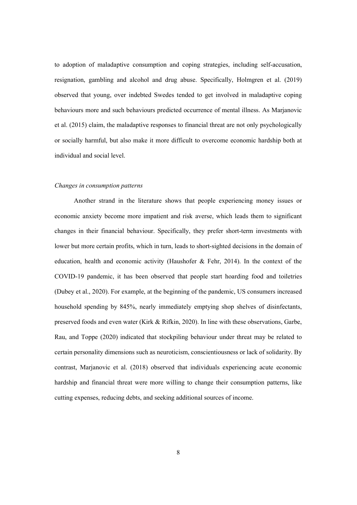to adoption of maladaptive consumption and coping strategies, including self-accusation, resignation, gambling and alcohol and drug abuse. Specifically, Holmgren et al. (2019) observed that young, over indebted Swedes tended to get involved in maladaptive coping behaviours more and such behaviours predicted occurrence of mental illness. As Marjanovic et al. (2015) claim, the maladaptive responses to financial threat are not only psychologically or socially harmful, but also make it more difficult to overcome economic hardship both at individual and social level.

#### Changes in consumption patterns

Another strand in the literature shows that people experiencing money issues or economic anxiety become more impatient and risk averse, which leads them to significant changes in their financial behaviour. Specifically, they prefer short-term investments with lower but more certain profits, which in turn, leads to short-sighted decisions in the domain of education, health and economic activity (Haushofer & Fehr, 2014). In the context of the COVID-19 pandemic, it has been observed that people start hoarding food and toiletries (Dubey et al., 2020). For example, at the beginning of the pandemic, US consumers increased household spending by 845%, nearly immediately emptying shop shelves of disinfectants, preserved foods and even water (Kirk & Rifkin, 2020). In line with these observations, Garbe, Rau, and Toppe (2020) indicated that stockpiling behaviour under threat may be related to certain personality dimensions such as neuroticism, conscientiousness or lack of solidarity. By contrast, Marjanovic et al. (2018) observed that individuals experiencing acute economic hardship and financial threat were more willing to change their consumption patterns, like cutting expenses, reducing debts, and seeking additional sources of income.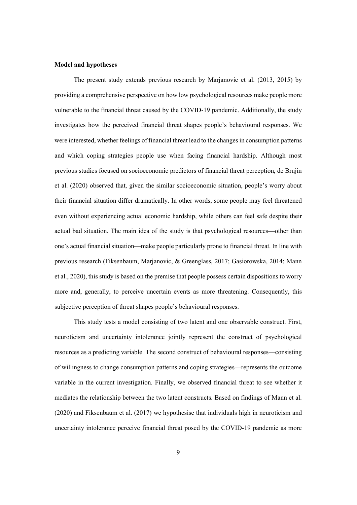#### Model and hypotheses

The present study extends previous research by Marjanovic et al. (2013, 2015) by providing a comprehensive perspective on how low psychological resources make people more vulnerable to the financial threat caused by the COVID-19 pandemic. Additionally, the study investigates how the perceived financial threat shapes people's behavioural responses. We were interested, whether feelings of financial threat lead to the changes in consumption patterns and which coping strategies people use when facing financial hardship. Although most previous studies focused on socioeconomic predictors of financial threat perception, de Brujin et al. (2020) observed that, given the similar socioeconomic situation, people's worry about their financial situation differ dramatically. In other words, some people may feel threatened even without experiencing actual economic hardship, while others can feel safe despite their actual bad situation. The main idea of the study is that psychological resources—other than one's actual financial situation—make people particularly prone to financial threat. In line with previous research (Fiksenbaum, Marjanovic, & Greenglass, 2017; Gasiorowska, 2014; Mann et al., 2020), this study is based on the premise that people possess certain dispositions to worry more and, generally, to perceive uncertain events as more threatening. Consequently, this subjective perception of threat shapes people's behavioural responses.

This study tests a model consisting of two latent and one observable construct. First, neuroticism and uncertainty intolerance jointly represent the construct of psychological resources as a predicting variable. The second construct of behavioural responses—consisting of willingness to change consumption patterns and coping strategies—represents the outcome variable in the current investigation. Finally, we observed financial threat to see whether it mediates the relationship between the two latent constructs. Based on findings of Mann et al. (2020) and Fiksenbaum et al. (2017) we hypothesise that individuals high in neuroticism and uncertainty intolerance perceive financial threat posed by the COVID-19 pandemic as more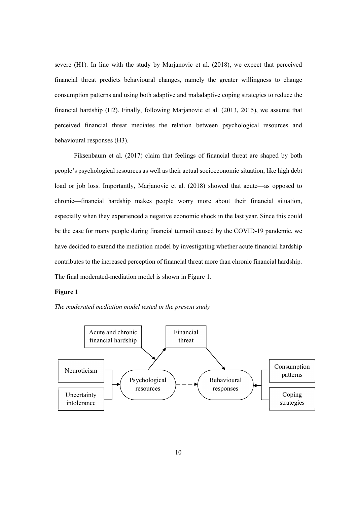severe (H1). In line with the study by Marjanovic et al. (2018), we expect that perceived financial threat predicts behavioural changes, namely the greater willingness to change consumption patterns and using both adaptive and maladaptive coping strategies to reduce the financial hardship (H2). Finally, following Marjanovic et al. (2013, 2015), we assume that perceived financial threat mediates the relation between psychological resources and behavioural responses (H3).

Fiksenbaum et al. (2017) claim that feelings of financial threat are shaped by both people's psychological resources as well as their actual socioeconomic situation, like high debt load or job loss. Importantly, Marjanovic et al. (2018) showed that acute—as opposed to chronic—financial hardship makes people worry more about their financial situation, especially when they experienced a negative economic shock in the last year. Since this could be the case for many people during financial turmoil caused by the COVID-19 pandemic, we have decided to extend the mediation model by investigating whether acute financial hardship contributes to the increased perception of financial threat more than chronic financial hardship. The final moderated-mediation model is shown in Figure 1.

#### Figure 1

The moderated mediation model tested in the present study

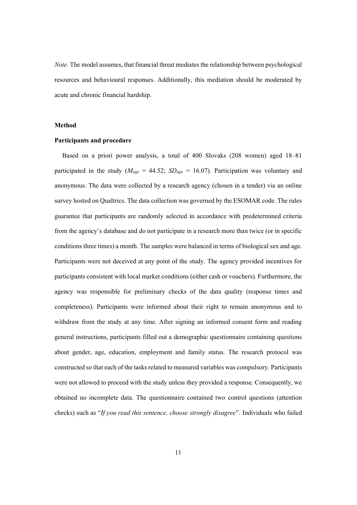Note. The model assumes, that financial threat mediates the relationship between psychological resources and behavioural responses. Additionally, this mediation should be moderated by acute and chronic financial hardship.

#### Method

#### Participants and procedure

Based on a priori power analysis, a total of 400 Slovaks (208 women) aged 18–81 participated in the study ( $M_{age} = 44.52$ ;  $SD_{age} = 16.07$ ). Participation was voluntary and anonymous. The data were collected by a research agency (chosen in a tender) via an online survey hosted on Qualtrics. The data collection was governed by the ESOMAR code. The rules guarantee that participants are randomly selected in accordance with predetermined criteria from the agency's database and do not participate in a research more than twice (or in specific conditions three times) a month. The samples were balanced in terms of biological sex and age. Participants were not deceived at any point of the study. The agency provided incentives for participants consistent with local market conditions (either cash or vouchers). Furthermore, the agency was responsible for preliminary checks of the data quality (response times and completeness). Participants were informed about their right to remain anonymous and to withdraw from the study at any time. After signing an informed consent form and reading general instructions, participants filled out a demographic questionnaire containing questions about gender, age, education, employment and family status. The research protocol was constructed so that each of the tasks related to measured variables was compulsory. Participants were not allowed to proceed with the study unless they provided a response. Consequently, we obtained no incomplete data. The questionnaire contained two control questions (attention checks) such as "If you read this sentence, choose strongly disagree". Individuals who failed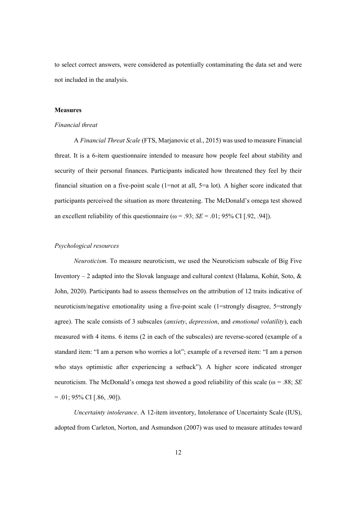to select correct answers, were considered as potentially contaminating the data set and were not included in the analysis.

#### Measures

#### Financial threat

A Financial Threat Scale (FTS, Marjanovic et al., 2015) was used to measure Financial threat. It is a 6-item questionnaire intended to measure how people feel about stability and security of their personal finances. Participants indicated how threatened they feel by their financial situation on a five-point scale (1=not at all, 5=a lot). A higher score indicated that participants perceived the situation as more threatening. The McDonald's omega test showed an excellent reliability of this questionnaire ( $\omega = .93$ ;  $SE = .01$ ; 95% CI [.92, .94]).

#### Psychological resources

Neuroticism. To measure neuroticism, we used the Neuroticism subscale of Big Five Inventory – 2 adapted into the Slovak language and cultural context (Halama, Kohút, Soto, & John, 2020). Participants had to assess themselves on the attribution of 12 traits indicative of neuroticism/negative emotionality using a five-point scale (1=strongly disagree, 5=strongly agree). The scale consists of 3 subscales (anxiety, depression, and emotional volatility), each measured with 4 items. 6 items (2 in each of the subscales) are reverse-scored (example of a standard item: "I am a person who worries a lot"; example of a reversed item: "I am a person who stays optimistic after experiencing a setback"). A higher score indicated stronger neuroticism. The McDonald's omega test showed a good reliability of this scale ( $\omega = .88$ ; SE  $= .01$ ; 95% CI [.86, .90]).

Uncertainty intolerance. A 12-item inventory, Intolerance of Uncertainty Scale (IUS), adopted from Carleton, Norton, and Asmundson (2007) was used to measure attitudes toward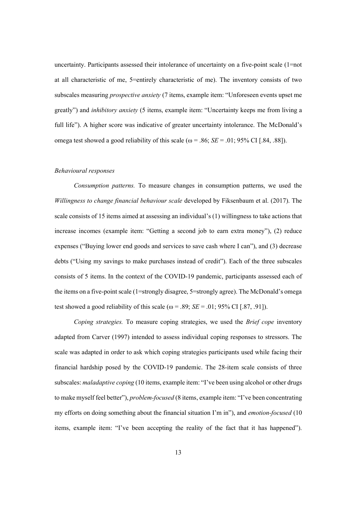uncertainty. Participants assessed their intolerance of uncertainty on a five-point scale (1=not at all characteristic of me, 5=entirely characteristic of me). The inventory consists of two subscales measuring *prospective anxiety* (7 items, example item: "Unforeseen events upset me greatly") and inhibitory anxiety (5 items, example item: "Uncertainty keeps me from living a full life"). A higher score was indicative of greater uncertainty intolerance. The McDonald's omega test showed a good reliability of this scale ( $\omega = .86$ ;  $SE = .01$ ; 95% CI [.84, .88]).

#### Behavioural responses

Consumption patterns. To measure changes in consumption patterns, we used the Willingness to change financial behaviour scale developed by Fiksenbaum et al. (2017). The scale consists of 15 items aimed at assessing an individual's (1) willingness to take actions that increase incomes (example item: "Getting a second job to earn extra money"), (2) reduce expenses ("Buying lower end goods and services to save cash where I can"), and (3) decrease debts ("Using my savings to make purchases instead of credit"). Each of the three subscales consists of 5 items. In the context of the COVID-19 pandemic, participants assessed each of the items on a five-point scale (1=strongly disagree, 5=strongly agree). The McDonald's omega test showed a good reliability of this scale ( $\omega = .89$ ;  $SE = .01$ ; 95% CI [.87, .91]).

Coping strategies. To measure coping strategies, we used the *Brief cope* inventory adapted from Carver (1997) intended to assess individual coping responses to stressors. The scale was adapted in order to ask which coping strategies participants used while facing their financial hardship posed by the COVID-19 pandemic. The 28-item scale consists of three subscales: *maladaptive coping* (10 items, example item: "I've been using alcohol or other drugs to make myself feel better"), *problem-focused* (8 items, example item: "I've been concentrating my efforts on doing something about the financial situation I'm in"), and *emotion-focused* (10 items, example item: "I've been accepting the reality of the fact that it has happened").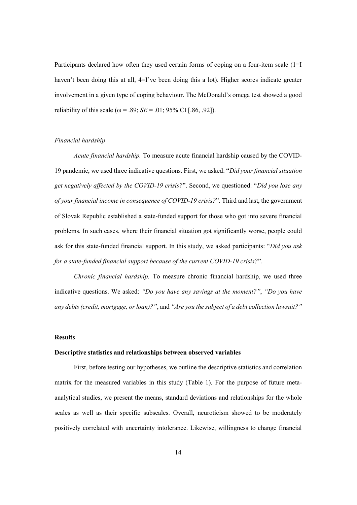Participants declared how often they used certain forms of coping on a four-item scale (1=I) haven't been doing this at all, 4=I've been doing this a lot). Higher scores indicate greater involvement in a given type of coping behaviour. The McDonald's omega test showed a good reliability of this scale ( $\omega = .89$ ; *SE* = .01; 95% CI [.86, .92]).

#### Financial hardship

Acute financial hardship. To measure acute financial hardship caused by the COVID-19 pandemic, we used three indicative questions. First, we asked: "Did your financial situation get negatively affected by the COVID-19 crisis?". Second, we questioned: "Did you lose any of your financial income in consequence of COVID-19 crisis?". Third and last, the government of Slovak Republic established a state-funded support for those who got into severe financial problems. In such cases, where their financial situation got significantly worse, people could ask for this state-funded financial support. In this study, we asked participants: "Did you ask for a state-funded financial support because of the current COVID-19 crisis?".

Chronic financial hardship. To measure chronic financial hardship, we used three indicative questions. We asked: "Do you have any savings at the moment?", "Do you have any debts (credit, mortgage, or loan)?", and "Are you the subject of a debt collection lawsuit?"

#### **Results**

#### Descriptive statistics and relationships between observed variables

First, before testing our hypotheses, we outline the descriptive statistics and correlation matrix for the measured variables in this study (Table 1). For the purpose of future metaanalytical studies, we present the means, standard deviations and relationships for the whole scales as well as their specific subscales. Overall, neuroticism showed to be moderately positively correlated with uncertainty intolerance. Likewise, willingness to change financial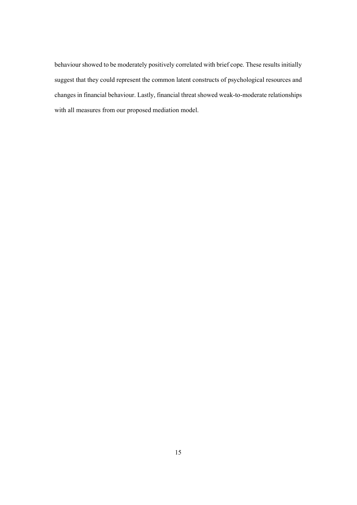behaviour showed to be moderately positively correlated with brief cope. These results initially suggest that they could represent the common latent constructs of psychological resources and changes in financial behaviour. Lastly, financial threat showed weak-to-moderate relationships with all measures from our proposed mediation model.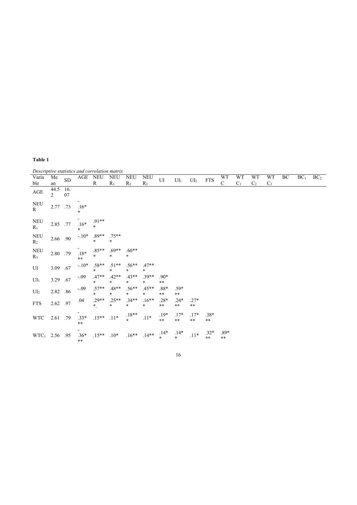#### Table 1

| Descriptive statistics and correlation matrix |           |            |                      |                   |                    |                   |                   |                      |                      |                 |                      |                 |                |                |       |    |                 |                 |
|-----------------------------------------------|-----------|------------|----------------------|-------------------|--------------------|-------------------|-------------------|----------------------|----------------------|-----------------|----------------------|-----------------|----------------|----------------|-------|----|-----------------|-----------------|
| Varia                                         | Me        | ${\rm SD}$ | AGE                  | <b>NEU</b>        | <b>NEU</b>         | <b>NEU</b>        | $\hbox{NEU}$      | UI                   | UI <sub>1</sub>      | UI <sub>2</sub> | <b>FTS</b>           | <b>WT</b>       | WT             | WT             | WT    | BC | BC <sub>1</sub> | BC <sub>2</sub> |
| ble                                           | an        |            |                      | R                 | R <sub>1</sub>     | R <sub>2</sub>    | R <sub>3</sub>    |                      |                      |                 |                      | $\mathbf C$     | C <sub>1</sub> | C <sub>2</sub> | $C_3$ |    |                 |                 |
| AGE                                           | 44.5<br>2 | 16.<br>07  |                      |                   |                    |                   |                   |                      |                      |                 |                      |                 |                |                |       |    |                 |                 |
| NEU<br>R                                      | 2.77      | .73        | $.16*$<br>$\ast$     |                   |                    |                   |                   |                      |                      |                 |                      |                 |                |                |       |    |                 |                 |
| <b>NEU</b><br>R <sub>1</sub>                  | 2.85      | .77        | $.16*$<br>$\ast$     | $.91**$<br>$\ast$ |                    |                   |                   |                      |                      |                 |                      |                 |                |                |       |    |                 |                 |
| <b>NEU</b><br>R <sub>2</sub>                  | 2.66      | .90        | $-10*$               | $.89**$<br>$\ast$ | $.75***$<br>$\ast$ |                   |                   |                      |                      |                 |                      |                 |                |                |       |    |                 |                 |
| <b>NEU</b><br>$R_3$                           | 2.80      | .79        | $.18*$<br>$\ast\ast$ | $.85**$<br>$\ast$ | $.69**$<br>$\ast$  | $.60**$<br>$\ast$ |                   |                      |                      |                 |                      |                 |                |                |       |    |                 |                 |
| UI                                            | 3.09      | .67        | $-10*$               | $.58**$<br>$\ast$ | $.51**$<br>$\ast$  | $.56**$<br>$\ast$ | $.47**$<br>$\ast$ |                      |                      |                 |                      |                 |                |                |       |    |                 |                 |
| UI <sub>1</sub>                               | 3.29      | .67        | $-.09$               | $.47**$<br>$\ast$ | $.42**$<br>$\ast$  | $.43**$<br>$\ast$ | $.39**$<br>$\ast$ | $.90*$<br>$\ast\ast$ |                      |                 |                      |                 |                |                |       |    |                 |                 |
| UI <sub>2</sub>                               | 2.82      | .86        | $-.09$               | $.57**$<br>$\ast$ | $.48**$<br>$\ast$  | $.56**$<br>$\ast$ | $.45**$<br>$\ast$ | $.88*$<br>$***$      | $.59*$<br>$\ast\ast$ |                 |                      |                 |                |                |       |    |                 |                 |
| <b>FTS</b>                                    | 2.62      | .97        | .04                  | $.29**$<br>$\ast$ | $.25**$<br>$\ast$  | $.34**$<br>$\ast$ | $.16**$<br>$\ast$ | $.28*$<br>**         | $.24*$<br>$\ast\ast$ | $.27*$<br>$***$ |                      |                 |                |                |       |    |                 |                 |
| <b>WTC</b>                                    | 2.61      | .79        | $.33*$<br>**         | $.15***$          | $.11*$             | $.18**$<br>$\ast$ | $.11*$            | $.19*$<br>$**$       | $.17*$<br>$***$      | $.17*$<br>$***$ | $.38*$<br>$\ast\ast$ |                 |                |                |       |    |                 |                 |
| $WTC_1$ 2.56                                  |           | .95        | $.36*$<br>**         | $.15***$          | $.10*$             | $.16**$           | $.14**$           | $.14*$<br>$\ast$     | $.14*$<br>$\ast$     | $.11*$          | $.32*$<br>$***$      | $.89*$<br>$***$ |                |                |       |    |                 |                 |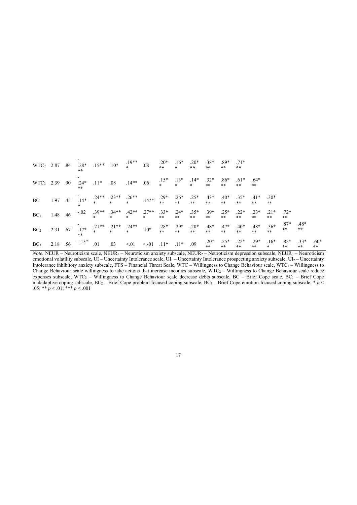| WTC <sub>2</sub> 2.87 .84 |          | $**$                 |                            |     | $.28^*$ $.15^{**}$ $.10^*$ $.19^{**}$ $.08$ $.20^*$ $.16^*$ $.20^*$ $.38^*$<br>**                                                                      |                                                                  |                 |                 |                         |                   | $.89*$ .71*<br>$***$ | $**$             |                 |                  |                 |                |                 |
|---------------------------|----------|----------------------|----------------------------|-----|--------------------------------------------------------------------------------------------------------------------------------------------------------|------------------------------------------------------------------|-----------------|-----------------|-------------------------|-------------------|----------------------|------------------|-----------------|------------------|-----------------|----------------|-----------------|
| WTC <sub>3</sub> 2.39 .90 |          | **                   |                            |     | $.24*$ $.11*$ $.08$ $.14**$ $.06$                                                                                                                      |                                                                  | $.15^*$ $.13^*$ |                 | $.14*$ $.32*$<br>$\ast$ | $***$             | $.86*$<br>$***$      | $.61*$<br>$***$  | $.64*$<br>$**$  |                  |                 |                |                 |
| BC                        | 1.97 .45 |                      |                            |     | $14^*$ $.24^{**}$ $.23^{**}$ $.26^{**}$ $.14^{**}$ $.29^*$ $.26^*$ $.25^*$ $.43^*$ $.40^*$ $.35^*$ $.41^*$<br>$.14^*$ $*$ $*$ $**$ $**$ $**$ $**$ $**$ |                                                                  |                 |                 |                         |                   |                      |                  |                 | $.30*$<br>**     |                 |                |                 |
| BC <sub>1</sub>           | 1.48 .46 |                      |                            |     | -.02 .39** .34** .42** .27** .33*<br>* * * * * * * *                                                                                                   |                                                                  |                 | $.24*$<br>$***$ | $.35*$<br>$***$         | $.39*$<br>$***$   | $.25*$<br>$***$      | $0.22*$<br>$***$ | $.23*$<br>$***$ | $.21*$<br>**     | $.72*$<br>$***$ |                |                 |
| BC <sub>2</sub>           | 2.31 .67 | $\sim 17$ *<br>$***$ | $.21***$ $.21***$ $.24***$ |     |                                                                                                                                                        | $.10^*$ $.28^*$ $.29^*$ $.20^*$ $.48^*$ $.47^*$<br>$**$ ** ** ** |                 |                 |                         |                   |                      | $.40*$<br>$***$  | $.48*$<br>$***$ | $.36*$<br>**     | $.87*$<br>$***$ | $.48*$<br>$**$ |                 |
| BC <sub>3</sub>           |          | 2.18 .56 $-13^*$ .01 |                            | .03 | $\leq 01$ $\leq -01$ $.11*$                                                                                                                            |                                                                  |                 |                 |                         | $.11*$ .09 $.20*$ | $.25*$<br>$***$      | $.22*$<br>$**$   | $.29*$<br>$***$ | $.16*$<br>$\ast$ | $.82*$<br>$***$ | $.33*$<br>**   | $.60*$<br>$***$ |

Note. NEUR – Neuroticism scale, NEUR<sub>1</sub> – Neuroticism anxiety subscale, NEUR<sub>2</sub> – Neuroticism depression subscale, NEUR<sub>3</sub> – Neuroticism emotional volatility subscale, UI – Uncertainty Intolerance scale, UI<sub>1</sub> – Uncertainty Intolerance prospecting anxiety subscale, UI<sub>2</sub> – Uncertainty Intolerance inhibitory anxiety subscale, FTS – Financial Threat Scale, WTC – Willingness to Change Behaviour scale, WTC1 – Willingness to Change Behaviour scale willingness to take actions that increase incomes subscale,  $WTC_2 -$  Willingness to Change Behaviour scale reduce expenses subscale, WTC<sub>3</sub> – Willingness to Change Behaviour scale decrease debts subscale, BC – Brief Cope scale, BC<sub>1</sub> – Brief Cope maladaptive coping subscale,  $BC_2$  – Brief Cope problem-focused coping subscale,  $BC_3$  – Brief Cope emotion-focused coping subscale,  $* p$  < .05; \*\*  $p < 0.01$ ; \*\*\*  $p < .001$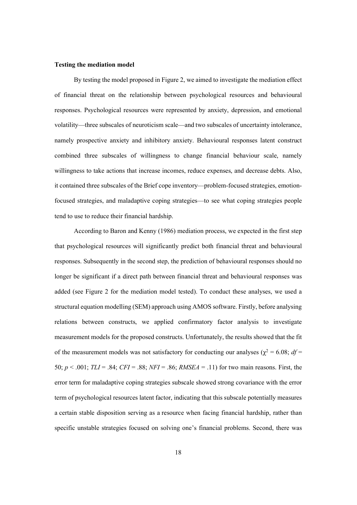#### Testing the mediation model

By testing the model proposed in Figure 2, we aimed to investigate the mediation effect of financial threat on the relationship between psychological resources and behavioural responses. Psychological resources were represented by anxiety, depression, and emotional volatility—three subscales of neuroticism scale—and two subscales of uncertainty intolerance, namely prospective anxiety and inhibitory anxiety. Behavioural responses latent construct combined three subscales of willingness to change financial behaviour scale, namely willingness to take actions that increase incomes, reduce expenses, and decrease debts. Also, it contained three subscales of the Brief cope inventory—problem-focused strategies, emotionfocused strategies, and maladaptive coping strategies—to see what coping strategies people tend to use to reduce their financial hardship.

According to Baron and Kenny (1986) mediation process, we expected in the first step that psychological resources will significantly predict both financial threat and behavioural responses. Subsequently in the second step, the prediction of behavioural responses should no longer be significant if a direct path between financial threat and behavioural responses was added (see Figure 2 for the mediation model tested). To conduct these analyses, we used a structural equation modelling (SEM) approach using AMOS software. Firstly, before analysing relations between constructs, we applied confirmatory factor analysis to investigate measurement models for the proposed constructs. Unfortunately, the results showed that the fit of the measurement models was not satisfactory for conducting our analyses ( $\chi^2$  = 6.08; *df* = 50;  $p < .001$ ; TLI = .84; CFI = .88; NFI = .86; RMSEA = .11) for two main reasons. First, the error term for maladaptive coping strategies subscale showed strong covariance with the error term of psychological resources latent factor, indicating that this subscale potentially measures a certain stable disposition serving as a resource when facing financial hardship, rather than specific unstable strategies focused on solving one's financial problems. Second, there was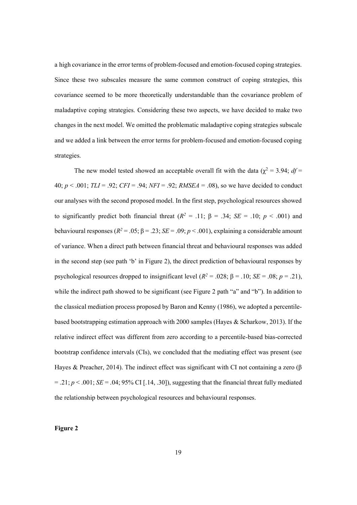a high covariance in the error terms of problem-focused and emotion-focused coping strategies. Since these two subscales measure the same common construct of coping strategies, this covariance seemed to be more theoretically understandable than the covariance problem of maladaptive coping strategies. Considering these two aspects, we have decided to make two changes in the next model. We omitted the problematic maladaptive coping strategies subscale and we added a link between the error terms for problem-focused and emotion-focused coping strategies.

The new model tested showed an acceptable overall fit with the data ( $\chi^2 = 3.94$ ;  $df =$ 40;  $p < .001$ ; TLI = .92; CFI = .94; NFI = .92; RMSEA = .08), so we have decided to conduct our analyses with the second proposed model. In the first step, psychological resources showed to significantly predict both financial threat ( $R^2 = .11$ ;  $\beta = .34$ ;  $SE = .10$ ;  $p < .001$ ) and behavioural responses ( $R^2 = .05$ ;  $\beta = .23$ ;  $SE = .09$ ;  $p < .001$ ), explaining a considerable amount of variance. When a direct path between financial threat and behavioural responses was added in the second step (see path 'b' in Figure 2), the direct prediction of behavioural responses by psychological resources dropped to insignificant level ( $R^2 = .028$ ;  $\beta = .10$ ;  $SE = .08$ ;  $p = .21$ ), while the indirect path showed to be significant (see Figure 2 path "a" and "b"). In addition to the classical mediation process proposed by Baron and Kenny (1986), we adopted a percentilebased bootstrapping estimation approach with 2000 samples (Hayes & Scharkow, 2013). If the relative indirect effect was different from zero according to a percentile-based bias-corrected bootstrap confidence intervals (CIs), we concluded that the mediating effect was present (see Hayes & Preacher, 2014). The indirect effect was significant with CI not containing a zero (β  $= .21$ ;  $p < .001$ ;  $SE = .04$ ; 95% CI [.14, .30]), suggesting that the financial threat fully mediated the relationship between psychological resources and behavioural responses.

Figure 2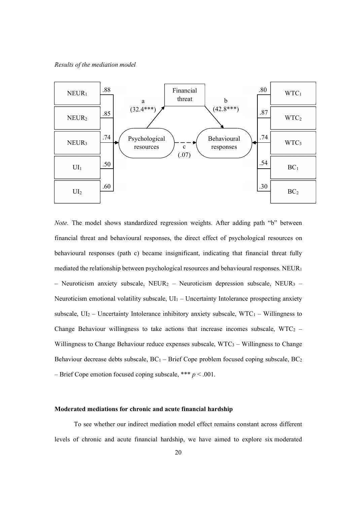#### Results of the mediation model



Note. The model shows standardized regression weights. After adding path "b" between financial threat and behavioural responses, the direct effect of psychological resources on behavioural responses (path c) became insignificant, indicating that financial threat fully mediated the relationship between psychological resources and behavioural responses. NEUR1 – Neuroticism anxiety subscale, NEUR<sub>2</sub> – Neuroticism depression subscale, NEUR<sub>3</sub> – Neuroticism emotional volatility subscale, UI<sub>1</sub> – Uncertainty Intolerance prospecting anxiety subscale,  $UI_2$  – Uncertainty Intolerance inhibitory anxiety subscale,  $WTC_1$  – Willingness to Change Behaviour willingness to take actions that increase incomes subscale,  $WTC_2$  – Willingness to Change Behaviour reduce expenses subscale,  $WTC_3$  – Willingness to Change Behaviour decrease debts subscale,  $BC_1 - B$ rief Cope problem focused coping subscale,  $BC_2$ – Brief Cope emotion focused coping subscale, \*\*\*  $p < .001$ .

#### Moderated mediations for chronic and acute financial hardship

To see whether our indirect mediation model effect remains constant across different levels of chronic and acute financial hardship, we have aimed to explore six moderated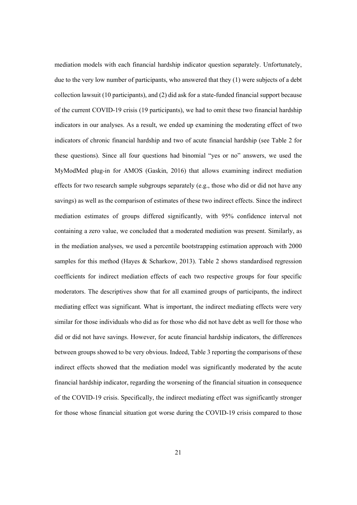mediation models with each financial hardship indicator question separately. Unfortunately, due to the very low number of participants, who answered that they (1) were subjects of a debt collection lawsuit (10 participants), and (2) did ask for a state-funded financial support because of the current COVID-19 crisis (19 participants), we had to omit these two financial hardship indicators in our analyses. As a result, we ended up examining the moderating effect of two indicators of chronic financial hardship and two of acute financial hardship (see Table 2 for these questions). Since all four questions had binomial "yes or no" answers, we used the MyModMed plug-in for AMOS (Gaskin, 2016) that allows examining indirect mediation effects for two research sample subgroups separately (e.g., those who did or did not have any savings) as well as the comparison of estimates of these two indirect effects. Since the indirect mediation estimates of groups differed significantly, with 95% confidence interval not containing a zero value, we concluded that a moderated mediation was present. Similarly, as in the mediation analyses, we used a percentile bootstrapping estimation approach with 2000 samples for this method (Hayes & Scharkow, 2013). Table 2 shows standardised regression coefficients for indirect mediation effects of each two respective groups for four specific moderators. The descriptives show that for all examined groups of participants, the indirect mediating effect was significant. What is important, the indirect mediating effects were very similar for those individuals who did as for those who did not have debt as well for those who did or did not have savings. However, for acute financial hardship indicators, the differences between groups showed to be very obvious. Indeed, Table 3 reporting the comparisons of these indirect effects showed that the mediation model was significantly moderated by the acute financial hardship indicator, regarding the worsening of the financial situation in consequence of the COVID-19 crisis. Specifically, the indirect mediating effect was significantly stronger for those whose financial situation got worse during the COVID-19 crisis compared to those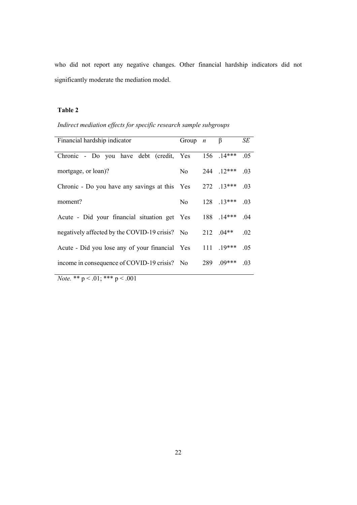who did not report any negative changes. Other financial hardship indicators did not significantly moderate the mediation model.

#### Table 2

Indirect mediation effects for specific research sample subgroups

| Financial hardship indicator                   | Group $n$      | β                 | SE  |
|------------------------------------------------|----------------|-------------------|-----|
| Chronic - Do you have debt (credit, Yes        |                | 156 .14***        | .05 |
| mortgage, or loan)?                            | N <sub>o</sub> | 244 .12***        | .03 |
| Chronic - Do you have any savings at this Yes  |                | $272 \quad 13***$ | .03 |
| moment?                                        | N <sub>0</sub> | 128 .13***        | .03 |
| Acute - Did your financial situation get Yes   |                | 188 .14***        | .04 |
| negatively affected by the COVID-19 crisis? No |                | $212 \t .04**$    | .02 |
| Acute - Did you lose any of your financial Yes |                | 111 .19***        | .05 |
| income in consequence of COVID-19 crisis? No   |                | 289 .09***        | .03 |

Note. \*\*  $p < .01$ ; \*\*\*  $p < .001$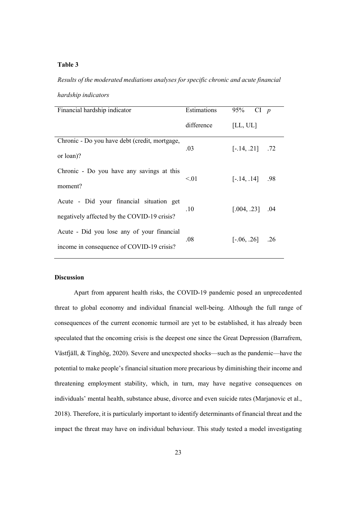#### Table 3

Results of the moderated mediations analyses for specific chronic and acute financial

| Financial hardship indicator                                                            | Estimations | 95% CI $p$        |
|-----------------------------------------------------------------------------------------|-------------|-------------------|
|                                                                                         | difference  | [LL, UL]          |
| Chronic - Do you have debt (credit, mortgage,<br>or loan)?                              | .03         | $[-.14, .21]$ .72 |
| Chronic - Do you have any savings at this<br>moment?                                    | < 0.01      | $[-.14, .14]$ .98 |
| Acute - Did your financial situation get<br>negatively affected by the COVID-19 crisis? | .10         | $[.004, .23]$ .04 |
| Acute - Did you lose any of your financial<br>income in consequence of COVID-19 crisis? | .08         | $[-.06, .26]$ .26 |

#### **Discussion**

Apart from apparent health risks, the COVID-19 pandemic posed an unprecedented threat to global economy and individual financial well-being. Although the full range of consequences of the current economic turmoil are yet to be established, it has already been speculated that the oncoming crisis is the deepest one since the Great Depression (Barrafrem, Västfjäll, & Tinghög, 2020). Severe and unexpected shocks—such as the pandemic—have the potential to make people's financial situation more precarious by diminishing their income and threatening employment stability, which, in turn, may have negative consequences on individuals' mental health, substance abuse, divorce and even suicide rates (Marjanovic et al., 2018). Therefore, it is particularly important to identify determinants of financial threat and the impact the threat may have on individual behaviour. This study tested a model investigating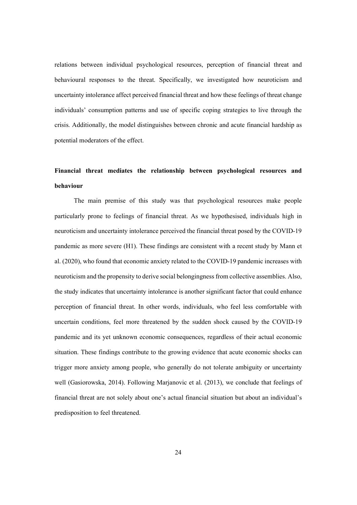relations between individual psychological resources, perception of financial threat and behavioural responses to the threat. Specifically, we investigated how neuroticism and uncertainty intolerance affect perceived financial threat and how these feelings of threat change individuals' consumption patterns and use of specific coping strategies to live through the crisis. Additionally, the model distinguishes between chronic and acute financial hardship as potential moderators of the effect.

#### Financial threat mediates the relationship between psychological resources and behaviour

The main premise of this study was that psychological resources make people particularly prone to feelings of financial threat. As we hypothesised, individuals high in neuroticism and uncertainty intolerance perceived the financial threat posed by the COVID-19 pandemic as more severe (H1). These findings are consistent with a recent study by Mann et al. (2020), who found that economic anxiety related to the COVID-19 pandemic increases with neuroticism and the propensity to derive social belongingness from collective assemblies. Also, the study indicates that uncertainty intolerance is another significant factor that could enhance perception of financial threat. In other words, individuals, who feel less comfortable with uncertain conditions, feel more threatened by the sudden shock caused by the COVID-19 pandemic and its yet unknown economic consequences, regardless of their actual economic situation. These findings contribute to the growing evidence that acute economic shocks can trigger more anxiety among people, who generally do not tolerate ambiguity or uncertainty well (Gasiorowska, 2014). Following Marjanovic et al. (2013), we conclude that feelings of financial threat are not solely about one's actual financial situation but about an individual's predisposition to feel threatened.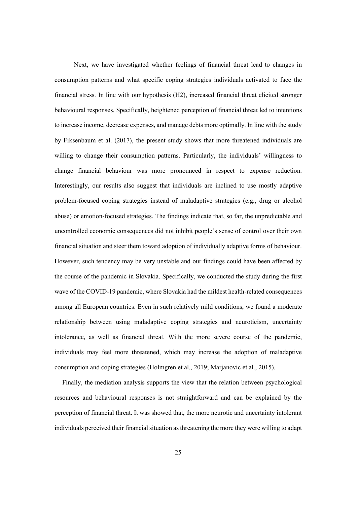Next, we have investigated whether feelings of financial threat lead to changes in consumption patterns and what specific coping strategies individuals activated to face the financial stress. In line with our hypothesis (H2), increased financial threat elicited stronger behavioural responses. Specifically, heightened perception of financial threat led to intentions to increase income, decrease expenses, and manage debts more optimally. In line with the study by Fiksenbaum et al. (2017), the present study shows that more threatened individuals are willing to change their consumption patterns. Particularly, the individuals' willingness to change financial behaviour was more pronounced in respect to expense reduction. Interestingly, our results also suggest that individuals are inclined to use mostly adaptive problem-focused coping strategies instead of maladaptive strategies (e.g., drug or alcohol abuse) or emotion-focused strategies. The findings indicate that, so far, the unpredictable and uncontrolled economic consequences did not inhibit people's sense of control over their own financial situation and steer them toward adoption of individually adaptive forms of behaviour. However, such tendency may be very unstable and our findings could have been affected by the course of the pandemic in Slovakia. Specifically, we conducted the study during the first wave of the COVID-19 pandemic, where Slovakia had the mildest health-related consequences among all European countries. Even in such relatively mild conditions, we found a moderate relationship between using maladaptive coping strategies and neuroticism, uncertainty intolerance, as well as financial threat. With the more severe course of the pandemic, individuals may feel more threatened, which may increase the adoption of maladaptive consumption and coping strategies (Holmgren et al., 2019; Marjanovic et al., 2015).

Finally, the mediation analysis supports the view that the relation between psychological resources and behavioural responses is not straightforward and can be explained by the perception of financial threat. It was showed that, the more neurotic and uncertainty intolerant individuals perceived their financial situation as threatening the more they were willing to adapt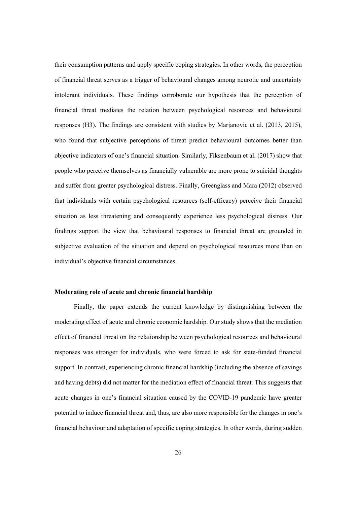their consumption patterns and apply specific coping strategies. In other words, the perception of financial threat serves as a trigger of behavioural changes among neurotic and uncertainty intolerant individuals. These findings corroborate our hypothesis that the perception of financial threat mediates the relation between psychological resources and behavioural responses (H3). The findings are consistent with studies by Marjanovic et al. (2013, 2015), who found that subjective perceptions of threat predict behavioural outcomes better than objective indicators of one's financial situation. Similarly, Fiksenbaum et al. (2017) show that people who perceive themselves as financially vulnerable are more prone to suicidal thoughts and suffer from greater psychological distress. Finally, Greenglass and Mara (2012) observed that individuals with certain psychological resources (self-efficacy) perceive their financial situation as less threatening and consequently experience less psychological distress. Our findings support the view that behavioural responses to financial threat are grounded in subjective evaluation of the situation and depend on psychological resources more than on individual's objective financial circumstances.

#### Moderating role of acute and chronic financial hardship

Finally, the paper extends the current knowledge by distinguishing between the moderating effect of acute and chronic economic hardship. Our study shows that the mediation effect of financial threat on the relationship between psychological resources and behavioural responses was stronger for individuals, who were forced to ask for state-funded financial support. In contrast, experiencing chronic financial hardship (including the absence of savings and having debts) did not matter for the mediation effect of financial threat. This suggests that acute changes in one's financial situation caused by the COVID-19 pandemic have greater potential to induce financial threat and, thus, are also more responsible for the changes in one's financial behaviour and adaptation of specific coping strategies. In other words, during sudden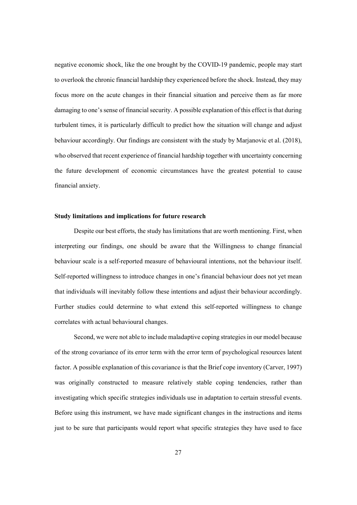negative economic shock, like the one brought by the COVID-19 pandemic, people may start to overlook the chronic financial hardship they experienced before the shock. Instead, they may focus more on the acute changes in their financial situation and perceive them as far more damaging to one's sense of financial security. A possible explanation of this effect is that during turbulent times, it is particularly difficult to predict how the situation will change and adjust behaviour accordingly. Our findings are consistent with the study by Marjanovic et al. (2018), who observed that recent experience of financial hardship together with uncertainty concerning the future development of economic circumstances have the greatest potential to cause financial anxiety.

#### Study limitations and implications for future research

Despite our best efforts, the study has limitations that are worth mentioning. First, when interpreting our findings, one should be aware that the Willingness to change financial behaviour scale is a self-reported measure of behavioural intentions, not the behaviour itself. Self-reported willingness to introduce changes in one's financial behaviour does not yet mean that individuals will inevitably follow these intentions and adjust their behaviour accordingly. Further studies could determine to what extend this self-reported willingness to change correlates with actual behavioural changes.

Second, we were not able to include maladaptive coping strategies in our model because of the strong covariance of its error term with the error term of psychological resources latent factor. A possible explanation of this covariance is that the Brief cope inventory (Carver, 1997) was originally constructed to measure relatively stable coping tendencies, rather than investigating which specific strategies individuals use in adaptation to certain stressful events. Before using this instrument, we have made significant changes in the instructions and items just to be sure that participants would report what specific strategies they have used to face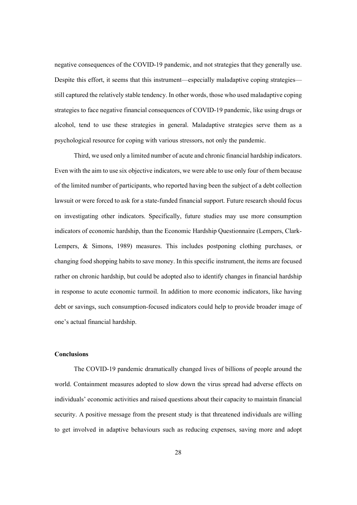negative consequences of the COVID-19 pandemic, and not strategies that they generally use. Despite this effort, it seems that this instrument—especially maladaptive coping strategies still captured the relatively stable tendency. In other words, those who used maladaptive coping strategies to face negative financial consequences of COVID-19 pandemic, like using drugs or alcohol, tend to use these strategies in general. Maladaptive strategies serve them as a psychological resource for coping with various stressors, not only the pandemic.

Third, we used only a limited number of acute and chronic financial hardship indicators. Even with the aim to use six objective indicators, we were able to use only four of them because of the limited number of participants, who reported having been the subject of a debt collection lawsuit or were forced to ask for a state-funded financial support. Future research should focus on investigating other indicators. Specifically, future studies may use more consumption indicators of economic hardship, than the Economic Hardship Questionnaire (Lempers, Clark-Lempers, & Simons, 1989) measures. This includes postponing clothing purchases, or changing food shopping habits to save money. In this specific instrument, the items are focused rather on chronic hardship, but could be adopted also to identify changes in financial hardship in response to acute economic turmoil. In addition to more economic indicators, like having debt or savings, such consumption-focused indicators could help to provide broader image of one's actual financial hardship.

#### **Conclusions**

The COVID-19 pandemic dramatically changed lives of billions of people around the world. Containment measures adopted to slow down the virus spread had adverse effects on individuals' economic activities and raised questions about their capacity to maintain financial security. A positive message from the present study is that threatened individuals are willing to get involved in adaptive behaviours such as reducing expenses, saving more and adopt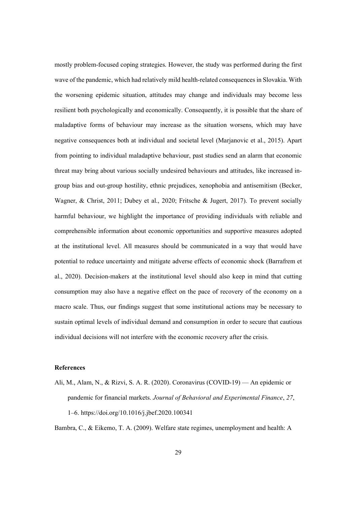mostly problem-focused coping strategies. However, the study was performed during the first wave of the pandemic, which had relatively mild health-related consequences in Slovakia. With the worsening epidemic situation, attitudes may change and individuals may become less resilient both psychologically and economically. Consequently, it is possible that the share of maladaptive forms of behaviour may increase as the situation worsens, which may have negative consequences both at individual and societal level (Marjanovic et al., 2015). Apart from pointing to individual maladaptive behaviour, past studies send an alarm that economic threat may bring about various socially undesired behaviours and attitudes, like increased ingroup bias and out-group hostility, ethnic prejudices, xenophobia and antisemitism (Becker, Wagner, & Christ, 2011; Dubey et al., 2020; Fritsche & Jugert, 2017). To prevent socially harmful behaviour, we highlight the importance of providing individuals with reliable and comprehensible information about economic opportunities and supportive measures adopted at the institutional level. All measures should be communicated in a way that would have potential to reduce uncertainty and mitigate adverse effects of economic shock (Barrafrem et al., 2020). Decision-makers at the institutional level should also keep in mind that cutting consumption may also have a negative effect on the pace of recovery of the economy on a macro scale. Thus, our findings suggest that some institutional actions may be necessary to sustain optimal levels of individual demand and consumption in order to secure that cautious individual decisions will not interfere with the economic recovery after the crisis.

#### References

Ali, M., Alam, N., & Rizvi, S. A. R. (2020). Coronavirus (COVID-19) — An epidemic or pandemic for financial markets. Journal of Behavioral and Experimental Finance, 27, 1–6. https://doi.org/10.1016/j.jbef.2020.100341

Bambra, C., & Eikemo, T. A. (2009). Welfare state regimes, unemployment and health: A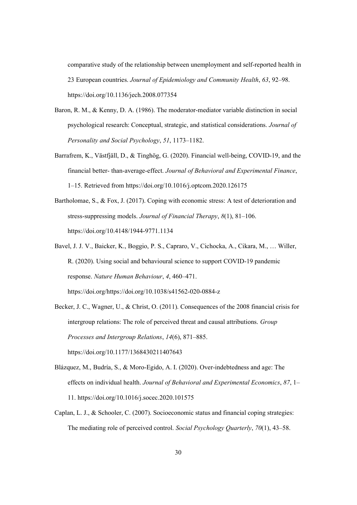comparative study of the relationship between unemployment and self-reported health in 23 European countries. Journal of Epidemiology and Community Health, 63, 92–98. https://doi.org/10.1136/jech.2008.077354

- Baron, R. M., & Kenny, D. A. (1986). The moderator-mediator variable distinction in social psychological research: Conceptual, strategic, and statistical considerations. Journal of Personality and Social Psychology, 51, 1173–1182.
- Barrafrem, K., Västfjäll, D., & Tinghög, G. (2020). Financial well-being, COVID-19, and the financial better- than-average-effect. Journal of Behavioral and Experimental Finance, 1–15. Retrieved from https://doi.org/10.1016/j.optcom.2020.126175
- Bartholomae, S., & Fox, J. (2017). Coping with economic stress: A test of deterioration and stress-suppressing models. Journal of Financial Therapy, 8(1), 81–106. https://doi.org/10.4148/1944-9771.1134
- Bavel, J. J. V., Baicker, K., Boggio, P. S., Capraro, V., Cichocka, A., Cikara, M., … Willer, R. (2020). Using social and behavioural science to support COVID-19 pandemic response. Nature Human Behaviour, 4, 460–471. https://doi.org/https://doi.org/10.1038/s41562-020-0884-z
- Becker, J. C., Wagner, U., & Christ, O. (2011). Consequences of the 2008 financial crisis for intergroup relations: The role of perceived threat and causal attributions. Group Processes and Intergroup Relations, 14(6), 871–885. https://doi.org/10.1177/1368430211407643
- Blázquez, M., Budría, S., & Moro-Egido, A. I. (2020). Over-indebtedness and age: The effects on individual health. Journal of Behavioral and Experimental Economics, 87, 1– 11. https://doi.org/10.1016/j.socec.2020.101575
- Caplan, L. J., & Schooler, C. (2007). Socioeconomic status and financial coping strategies: The mediating role of perceived control. Social Psychology Quarterly, 70(1), 43–58.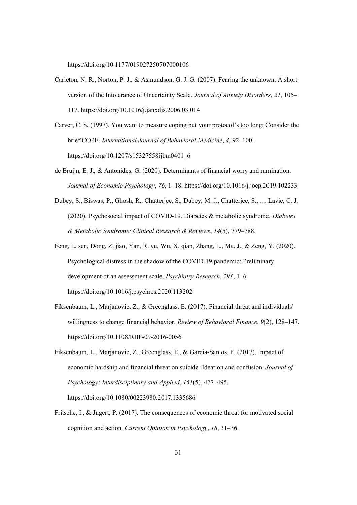https://doi.org/10.1177/019027250707000106

- Carleton, N. R., Norton, P. J., & Asmundson, G. J. G. (2007). Fearing the unknown: A short version of the Intolerance of Uncertainty Scale. Journal of Anxiety Disorders, 21, 105– 117. https://doi.org/10.1016/j.janxdis.2006.03.014
- Carver, C. S. (1997). You want to measure coping but your protocol's too long: Consider the brief COPE. International Journal of Behavioral Medicine, 4, 92–100. https://doi.org/10.1207/s15327558ijbm0401\_6
- de Bruijn, E. J., & Antonides, G. (2020). Determinants of financial worry and rumination. Journal of Economic Psychology, 76, 1–18. https://doi.org/10.1016/j.joep.2019.102233
- Dubey, S., Biswas, P., Ghosh, R., Chatterjee, S., Dubey, M. J., Chatterjee, S., … Lavie, C. J. (2020). Psychosocial impact of COVID-19. Diabetes & metabolic syndrome. Diabetes & Metabolic Syndrome: Clinical Research & Reviews, 14(5), 779–788.
- Feng, L. sen, Dong, Z. jiao, Yan, R. yu, Wu, X. qian, Zhang, L., Ma, J., & Zeng, Y. (2020). Psychological distress in the shadow of the COVID-19 pandemic: Preliminary development of an assessment scale. Psychiatry Research, 291, 1–6. https://doi.org/10.1016/j.psychres.2020.113202
- Fiksenbaum, L., Marjanovic, Z., & Greenglass, E. (2017). Financial threat and individuals' willingness to change financial behavior. Review of Behavioral Finance, 9(2), 128–147. https://doi.org/10.1108/RBF-09-2016-0056
- Fiksenbaum, L., Marjanovic, Z., Greenglass, E., & Garcia-Santos, F. (2017). Impact of economic hardship and financial threat on suicide iIdeation and confusion. Journal of Psychology: Interdisciplinary and Applied, 151(5), 477–495. https://doi.org/10.1080/00223980.2017.1335686
- Fritsche, I., & Jugert, P. (2017). The consequences of economic threat for motivated social cognition and action. Current Opinion in Psychology, 18, 31–36.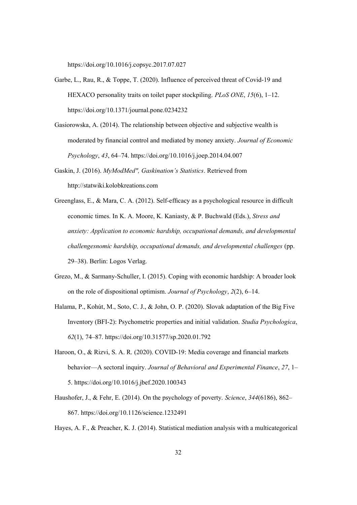https://doi.org/10.1016/j.copsyc.2017.07.027

- Garbe, L., Rau, R., & Toppe, T. (2020). Influence of perceived threat of Covid-19 and HEXACO personality traits on toilet paper stockpiling. PLoS ONE, 15(6), 1-12. https://doi.org/10.1371/journal.pone.0234232
- Gasiorowska, A. (2014). The relationship between objective and subjective wealth is moderated by financial control and mediated by money anxiety. Journal of Economic Psychology, 43, 64–74. https://doi.org/10.1016/j.joep.2014.04.007
- Gaskin, J. (2016). MyModMed", Gaskination's Statistics. Retrieved from http://statwiki.kolobkreations.com
- Greenglass, E., & Mara, C. A. (2012). Self-efficacy as a psychological resource in difficult economic times. In K. A. Moore, K. Kaniasty, & P. Buchwald (Eds.), Stress and anxiety: Application to economic hardship, occupational demands, and developmental challengesnomic hardship, occupational demands, and developmental challenges (pp. 29–38). Berlin: Logos Verlag.
- Grezo, M., & Sarmany-Schuller, I. (2015). Coping with economic hardship: A broader look on the role of dispositional optimism. Journal of Psychology, 2(2), 6–14.
- Halama, P., Kohút, M., Soto, C. J., & John, O. P. (2020). Slovak adaptation of the Big Five Inventory (BFI-2): Psychometric properties and initial validation. Studia Psychologica, 62(1), 74–87. https://doi.org/10.31577/sp.2020.01.792
- Haroon, O., & Rizvi, S. A. R. (2020). COVID-19: Media coverage and financial markets behavior—A sectoral inquiry. Journal of Behavioral and Experimental Finance, 27, 1– 5. https://doi.org/10.1016/j.jbef.2020.100343
- Haushofer, J., & Fehr, E. (2014). On the psychology of poverty. Science, 344(6186), 862– 867. https://doi.org/10.1126/science.1232491

Hayes, A. F., & Preacher, K. J. (2014). Statistical mediation analysis with a multicategorical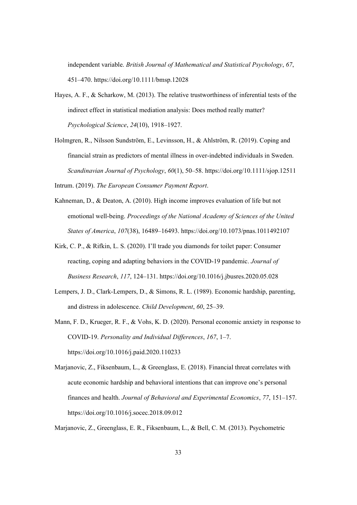independent variable. British Journal of Mathematical and Statistical Psychology, 67, 451–470. https://doi.org/10.1111/bmsp.12028

- Hayes, A. F., & Scharkow, M. (2013). The relative trustworthiness of inferential tests of the indirect effect in statistical mediation analysis: Does method really matter? Psychological Science, 24(10), 1918–1927.
- Holmgren, R., Nilsson Sundström, E., Levinsson, H., & Ahlström, R. (2019). Coping and financial strain as predictors of mental illness in over-indebted individuals in Sweden. Scandinavian Journal of Psychology, 60(1), 50–58. https://doi.org/10.1111/sjop.12511

Intrum. (2019). The European Consumer Payment Report.

- Kahneman, D., & Deaton, A. (2010). High income improves evaluation of life but not emotional well-being. Proceedings of the National Academy of Sciences of the United States of America, 107(38), 16489–16493. https://doi.org/10.1073/pnas.1011492107
- Kirk, C. P., & Rifkin, L. S. (2020). I'll trade you diamonds for toilet paper: Consumer reacting, coping and adapting behaviors in the COVID-19 pandemic. Journal of Business Research, 117, 124–131. https://doi.org/10.1016/j.jbusres.2020.05.028
- Lempers, J. D., Clark-Lempers, D., & Simons, R. L. (1989). Economic hardship, parenting, and distress in adolescence. Child Development, 60, 25–39.
- Mann, F. D., Krueger, R. F., & Vohs, K. D. (2020). Personal economic anxiety in response to COVID-19. Personality and Individual Differences, 167, 1–7. https://doi.org/10.1016/j.paid.2020.110233
- Marjanovic, Z., Fiksenbaum, L., & Greenglass, E. (2018). Financial threat correlates with acute economic hardship and behavioral intentions that can improve one's personal finances and health. Journal of Behavioral and Experimental Economics, 77, 151–157. https://doi.org/10.1016/j.socec.2018.09.012
- Marjanovic, Z., Greenglass, E. R., Fiksenbaum, L., & Bell, C. M. (2013). Psychometric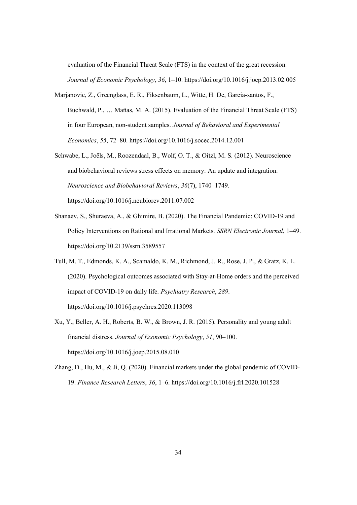evaluation of the Financial Threat Scale (FTS) in the context of the great recession. Journal of Economic Psychology, 36, 1–10. https://doi.org/10.1016/j.joep.2013.02.005

- Marjanovic, Z., Greenglass, E. R., Fiksenbaum, L., Witte, H. De, Garcia-santos, F., Buchwald, P., … Mañas, M. A. (2015). Evaluation of the Financial Threat Scale (FTS) in four European, non-student samples. Journal of Behavioral and Experimental Economics, 55, 72–80. https://doi.org/10.1016/j.socec.2014.12.001
- Schwabe, L., Joëls, M., Roozendaal, B., Wolf, O. T., & Oitzl, M. S. (2012). Neuroscience and biobehavioral reviews stress effects on memory: An update and integration. Neuroscience and Biobehavioral Reviews, 36(7), 1740–1749. https://doi.org/10.1016/j.neubiorev.2011.07.002
- Shanaev, S., Shuraeva, A., & Ghimire, B. (2020). The Financial Pandemic: COVID-19 and Policy Interventions on Rational and Irrational Markets. SSRN Electronic Journal, 1–49. https://doi.org/10.2139/ssrn.3589557
- Tull, M. T., Edmonds, K. A., Scamaldo, K. M., Richmond, J. R., Rose, J. P., & Gratz, K. L. (2020). Psychological outcomes associated with Stay-at-Home orders and the perceived impact of COVID-19 on daily life. Psychiatry Research, 289. https://doi.org/10.1016/j.psychres.2020.113098
- Xu, Y., Beller, A. H., Roberts, B. W., & Brown, J. R. (2015). Personality and young adult financial distress. Journal of Economic Psychology, 51, 90–100. https://doi.org/10.1016/j.joep.2015.08.010
- Zhang, D., Hu, M., & Ji, Q. (2020). Financial markets under the global pandemic of COVID-19. Finance Research Letters, 36, 1–6. https://doi.org/10.1016/j.frl.2020.101528